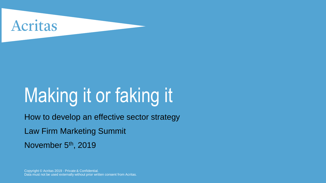

# Making it or faking it

How to develop an effective sector strategy

Law Firm Marketing Summit

November 5<sup>th</sup>, 2019

Copyright © Acritas 2019 - Private & Confidential. Data must not be used externally without prior written consent from Acritas.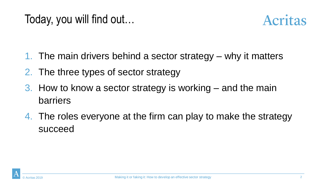

- 1. The main drivers behind a sector strategy why it matters
- 2. The three types of sector strategy
- 3. How to know a sector strategy is working and the main barriers
- 4. The roles everyone at the firm can play to make the strategy succeed

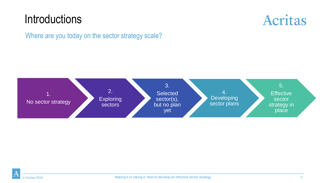#### **Introductions**



Where are you today on the sector strategy scale?



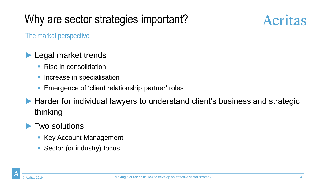### Why are sector strategies important?



The market perspective

#### Legal market trends

- Rise in consolidation
- Increase in specialisation
- Emergence of 'client relationship partner' roles
- ▶ Harder for individual lawyers to understand client's business and strategic thinking

#### ► Two solutions:

- Key Account Management
- Sector (or industry) focus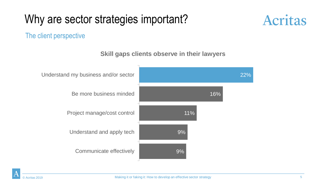### Why are sector strategies important?



#### The client perspective

**Skill gaps clients observe in their lawyers**

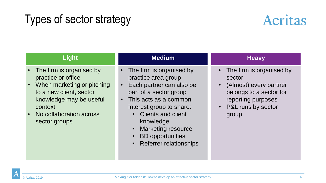#### Types of sector strategy



| <b>Light</b>                                                                                                                                                                                    | <b>Medium</b>                                                                                                                                                                                                                                                                                                   | <b>Heavy</b>                                                                                                                                                  |
|-------------------------------------------------------------------------------------------------------------------------------------------------------------------------------------------------|-----------------------------------------------------------------------------------------------------------------------------------------------------------------------------------------------------------------------------------------------------------------------------------------------------------------|---------------------------------------------------------------------------------------------------------------------------------------------------------------|
| • The firm is organised by<br>practice or office<br>• When marketing or pitching<br>to a new client, sector<br>knowledge may be useful<br>context<br>• No collaboration across<br>sector groups | • The firm is organised by<br>practice area group<br>Each partner can also be<br>$\bullet$<br>part of a sector group<br>This acts as a common<br>$\bullet$<br>interest group to share:<br>• Clients and client<br>knowledge<br><b>Marketing resource</b><br><b>BD</b> opportunities<br>• Referrer relationships | • The firm is organised by<br>sector<br>(Almost) every partner<br>$\bullet$<br>belongs to a sector for<br>reporting purposes<br>• P&L runs by sector<br>group |

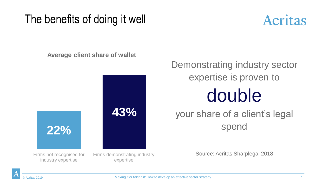#### The benefits of doing it well



**Average client share of wallet**



Demonstrating industry sector expertise is proven to double

#### your share of a client's legal spend

Source: Acritas Sharplegal 2018

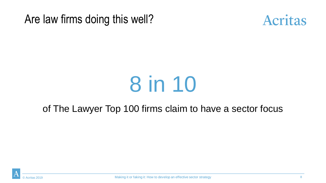Are law firms doing this well?



# 8 in 10

#### of The Lawyer Top 100 firms claim to have a sector focus

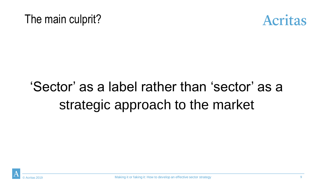



## 'Sector' as a label rather than 'sector' as a strategic approach to the market

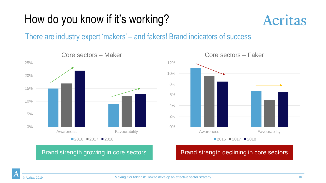### How do you know if it's working?



There are industry expert 'makers' – and fakers! Brand indicators of success





#### Core sectors – Faker

Brand strength growing in core sectors **Brand strength declining in core sectors**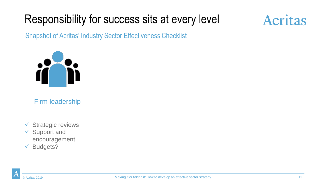#### Responsibility for success sits at every level

## **Acritas**

Snapshot of Acritas' Industry Sector Effectiveness Checklist



Firm leadership

- ✓ Strategic reviews
- ✓ Support and encouragement
- ✓ Budgets?

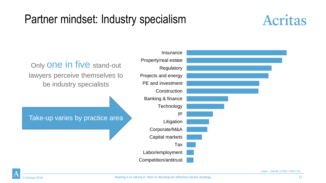#### Partner mindset: Industry specialism





Base : Overall (1780); CMS (72).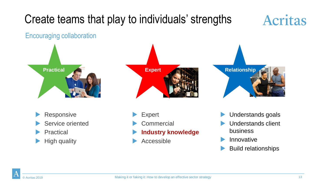## Create teams that play to individuals' strengths

## **Acritas**

#### Encouraging collaboration





- Responsive
- Service oriented
- Practical
- High quality
- Expert
- **Commercial**
- **Industry knowledge**
- Accessible



- Understands goals
- Understands client business
- Innovative
- Build relationships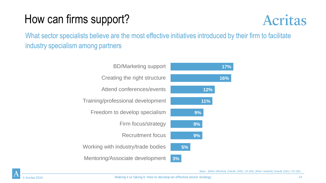### How can firms support?



What sector specialists believe are the most effective initiatives introduced by their firm to facilitate industry specialism among partners



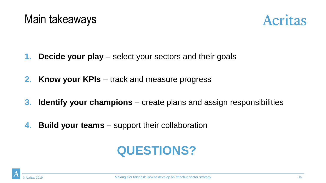

- **1. Decide your play** select your sectors and their goals
- **2. Know your KPIs** track and measure progress
- **3. Identify your champions**  create plans and assign responsibilities
- **4. Build your teams**  support their collaboration

## **QUESTIONS?**